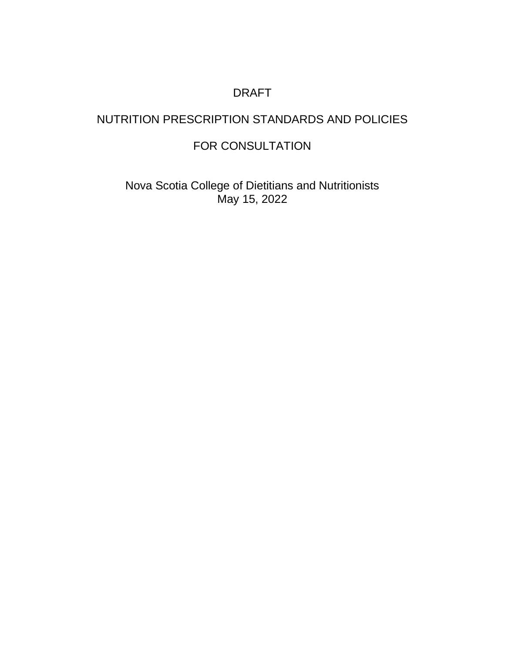## DRAFT

# NUTRITION PRESCRIPTION STANDARDS AND POLICIES

## FOR CONSULTATION

Nova Scotia College of Dietitians and Nutritionists May 15, 2022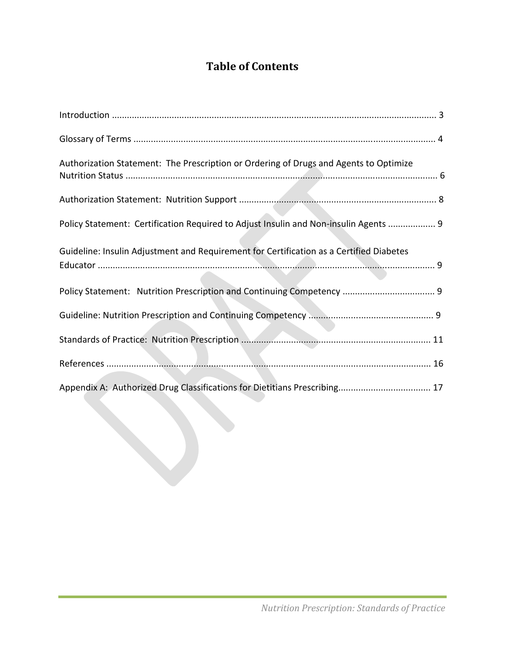# **Table of Contents**

| Authorization Statement: The Prescription or Ordering of Drugs and Agents to Optimize   |
|-----------------------------------------------------------------------------------------|
|                                                                                         |
| Policy Statement: Certification Required to Adjust Insulin and Non-insulin Agents  9    |
| Guideline: Insulin Adjustment and Requirement for Certification as a Certified Diabetes |
|                                                                                         |
|                                                                                         |
|                                                                                         |
|                                                                                         |
|                                                                                         |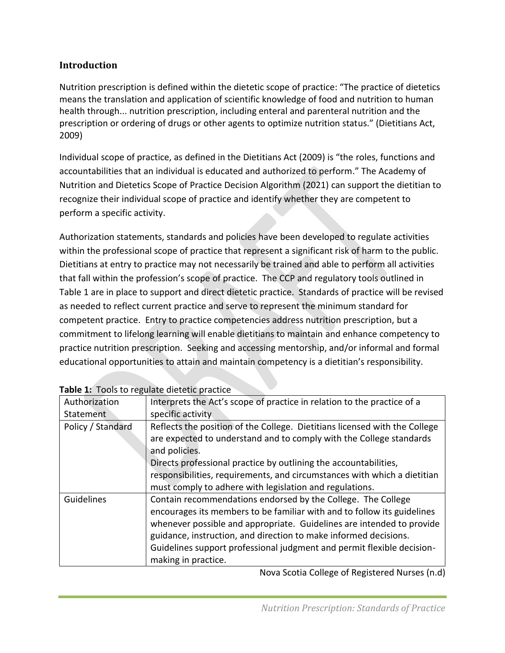### **Introduction**

Nutrition prescription is defined within the dietetic scope of practice: "The practice of dietetics means the translation and application of scientific knowledge of food and nutrition to human health through... nutrition prescription, including enteral and parenteral nutrition and the prescription or ordering of drugs or other agents to optimize nutrition status." (Dietitians Act, 2009)

Individual scope of practice, as defined in the Dietitians Act (2009) is "the roles, functions and accountabilities that an individual is educated and authorized to perform." The Academy of Nutrition and Dietetics Scope of Practice Decision Algorithm (2021) can support the dietitian to recognize their individual scope of practice and identify whether they are competent to perform a specific activity.

Authorization statements, standards and policies have been developed to regulate activities within the professional scope of practice that represent a significant risk of harm to the public. Dietitians at entry to practice may not necessarily be trained and able to perform all activities that fall within the profession's scope of practice. The CCP and regulatory tools outlined in Table 1 are in place to support and direct dietetic practice. Standards of practice will be revised as needed to reflect current practice and serve to represent the minimum standard for competent practice. Entry to practice competencies address nutrition prescription, but a commitment to lifelong learning will enable dietitians to maintain and enhance competency to practice nutrition prescription. Seeking and accessing mentorship, and/or informal and formal educational opportunities to attain and maintain competency is a dietitian's responsibility.

| <b>Table 1.</b> Tools to regulate aretetic practice |                                                                            |  |
|-----------------------------------------------------|----------------------------------------------------------------------------|--|
| Authorization                                       | Interprets the Act's scope of practice in relation to the practice of a    |  |
| Statement                                           | specific activity                                                          |  |
| Policy / Standard                                   | Reflects the position of the College. Dietitians licensed with the College |  |
|                                                     | are expected to understand and to comply with the College standards        |  |
|                                                     | and policies.                                                              |  |
|                                                     | Directs professional practice by outlining the accountabilities,           |  |
|                                                     | responsibilities, requirements, and circumstances with which a dietitian   |  |
|                                                     | must comply to adhere with legislation and regulations.                    |  |
| Guidelines                                          | Contain recommendations endorsed by the College. The College               |  |
|                                                     | encourages its members to be familiar with and to follow its guidelines    |  |
|                                                     | whenever possible and appropriate. Guidelines are intended to provide      |  |
|                                                     | guidance, instruction, and direction to make informed decisions.           |  |
|                                                     | Guidelines support professional judgment and permit flexible decision-     |  |
|                                                     | making in practice.                                                        |  |

**Table 1:** Tools to regulate dietetic practice

Nova Scotia College of Registered Nurses (n.d)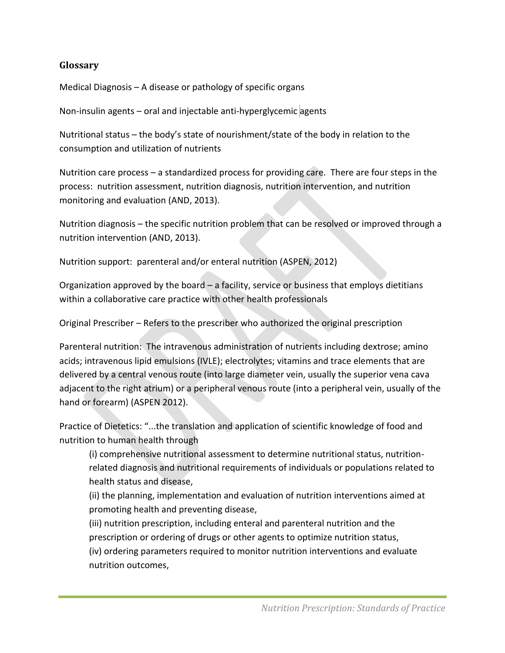#### **Glossary**

Medical Diagnosis – A disease or pathology of specific organs

Non-insulin agents – oral and injectable anti-hyperglycemic agents

Nutritional status – the body's state of nourishment/state of the body in relation to the consumption and utilization of nutrients

Nutrition care process – a standardized process for providing care. There are four steps in the process: nutrition assessment, nutrition diagnosis, nutrition intervention, and nutrition monitoring and evaluation (AND, 2013).

Nutrition diagnosis – the specific nutrition problem that can be resolved or improved through a nutrition intervention (AND, 2013).

Nutrition support: parenteral and/or enteral nutrition (ASPEN, 2012)

Organization approved by the board – a facility, service or business that employs dietitians within a collaborative care practice with other health professionals

Original Prescriber – Refers to the prescriber who authorized the original prescription

Parenteral nutrition: The intravenous administration of nutrients including dextrose; amino acids; intravenous lipid emulsions (IVLE); electrolytes; vitamins and trace elements that are delivered by a central venous route (into large diameter vein, usually the superior vena cava adjacent to the right atrium) or a peripheral venous route (into a peripheral vein, usually of the hand or forearm) (ASPEN 2012).

Practice of Dietetics: "...the translation and application of scientific knowledge of food and nutrition to human health through

(i) comprehensive nutritional assessment to determine nutritional status, nutritionrelated diagnosis and nutritional requirements of individuals or populations related to health status and disease,

(ii) the planning, implementation and evaluation of nutrition interventions aimed at promoting health and preventing disease,

(iii) nutrition prescription, including enteral and parenteral nutrition and the prescription or ordering of drugs or other agents to optimize nutrition status,

(iv) ordering parameters required to monitor nutrition interventions and evaluate nutrition outcomes,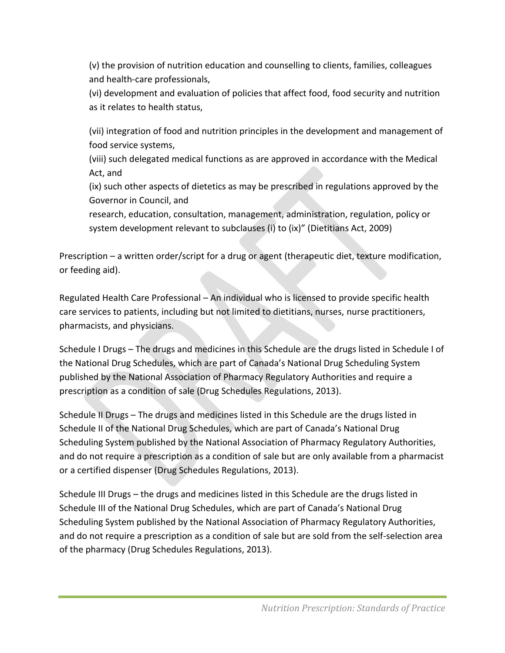(v) the provision of nutrition education and counselling to clients, families, colleagues and health-care professionals,

(vi) development and evaluation of policies that affect food, food security and nutrition as it relates to health status,

(vii) integration of food and nutrition principles in the development and management of food service systems,

(viii) such delegated medical functions as are approved in accordance with the Medical Act, and

(ix) such other aspects of dietetics as may be prescribed in regulations approved by the Governor in Council, and

research, education, consultation, management, administration, regulation, policy or system development relevant to subclauses (i) to (ix)" (Dietitians Act, 2009)

Prescription – a written order/script for a drug or agent (therapeutic diet, texture modification, or feeding aid).

Regulated Health Care Professional – An individual who is licensed to provide specific health care services to patients, including but not limited to dietitians, nurses, nurse practitioners, pharmacists, and physicians.

Schedule I Drugs – The drugs and medicines in this Schedule are the drugs listed in Schedule I of the National Drug Schedules, which are part of Canada's National Drug Scheduling System published by the National Association of Pharmacy Regulatory Authorities and require a prescription as a condition of sale (Drug Schedules Regulations, 2013).

Schedule II Drugs – The drugs and medicines listed in this Schedule are the drugs listed in Schedule II of the National Drug Schedules, which are part of Canada's National Drug Scheduling System published by the National Association of Pharmacy Regulatory Authorities, and do not require a prescription as a condition of sale but are only available from a pharmacist or a certified dispenser (Drug Schedules Regulations, 2013).

Schedule III Drugs – the drugs and medicines listed in this Schedule are the drugs listed in Schedule III of the National Drug Schedules, which are part of Canada's National Drug Scheduling System published by the National Association of Pharmacy Regulatory Authorities, and do not require a prescription as a condition of sale but are sold from the self-selection area of the pharmacy (Drug Schedules Regulations, 2013).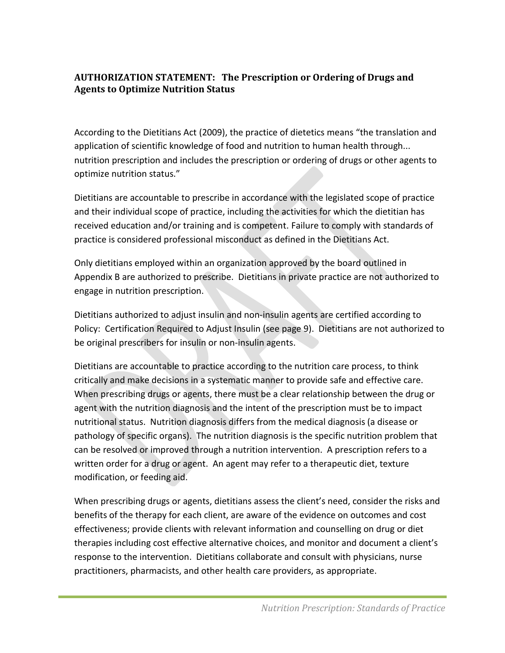### **AUTHORIZATION STATEMENT: The Prescription or Ordering of Drugs and Agents to Optimize Nutrition Status**

According to the Dietitians Act (2009), the practice of dietetics means "the translation and application of scientific knowledge of food and nutrition to human health through... nutrition prescription and includes the prescription or ordering of drugs or other agents to optimize nutrition status."

Dietitians are accountable to prescribe in accordance with the legislated scope of practice and their individual scope of practice, including the activities for which the dietitian has received education and/or training and is competent. Failure to comply with standards of practice is considered professional misconduct as defined in the Dietitians Act.

Only dietitians employed within an organization approved by the board outlined in Appendix B are authorized to prescribe. Dietitians in private practice are not authorized to engage in nutrition prescription.

Dietitians authorized to adjust insulin and non-insulin agents are certified according to Policy: Certification Required to Adjust Insulin (see page 9). Dietitians are not authorized to be original prescribers for insulin or non-insulin agents.

Dietitians are accountable to practice according to the nutrition care process, to think critically and make decisions in a systematic manner to provide safe and effective care. When prescribing drugs or agents, there must be a clear relationship between the drug or agent with the nutrition diagnosis and the intent of the prescription must be to impact nutritional status. Nutrition diagnosis differs from the medical diagnosis (a disease or pathology of specific organs). The nutrition diagnosis is the specific nutrition problem that can be resolved or improved through a nutrition intervention. A prescription refers to a written order for a drug or agent. An agent may refer to a therapeutic diet, texture modification, or feeding aid.

When prescribing drugs or agents, dietitians assess the client's need, consider the risks and benefits of the therapy for each client, are aware of the evidence on outcomes and cost effectiveness; provide clients with relevant information and counselling on drug or diet therapies including cost effective alternative choices, and monitor and document a client's response to the intervention. Dietitians collaborate and consult with physicians, nurse practitioners, pharmacists, and other health care providers, as appropriate.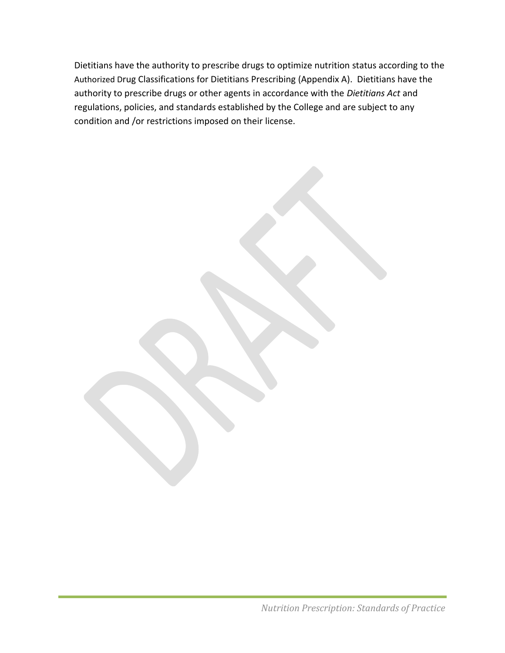Dietitians have the authority to prescribe drugs to optimize nutrition status according to the Authorized Drug Classifications for Dietitians Prescribing (Appendix A). Dietitians have the authority to prescribe drugs or other agents in accordance with the *Dietitians Act* and regulations, policies, and standards established by the College and are subject to any condition and /or restrictions imposed on their license.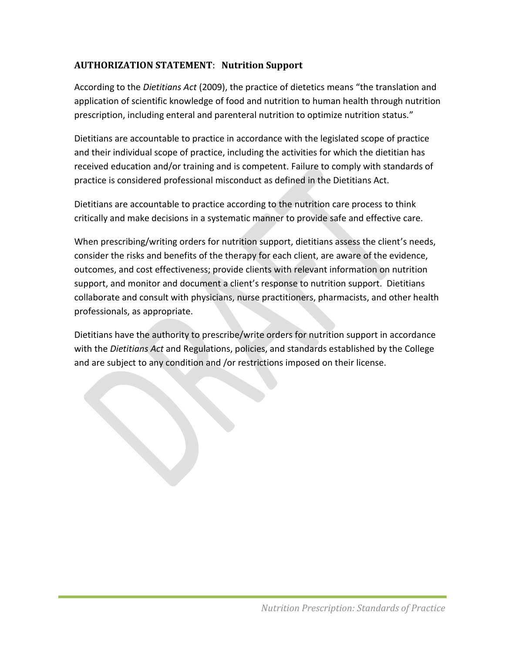## **AUTHORIZATION STATEMENT**: **Nutrition Support**

According to the *Dietitians Act* (2009), the practice of dietetics means "the translation and application of scientific knowledge of food and nutrition to human health through nutrition prescription, including enteral and parenteral nutrition to optimize nutrition status."

Dietitians are accountable to practice in accordance with the legislated scope of practice and their individual scope of practice, including the activities for which the dietitian has received education and/or training and is competent. Failure to comply with standards of practice is considered professional misconduct as defined in the Dietitians Act.

Dietitians are accountable to practice according to the nutrition care process to think critically and make decisions in a systematic manner to provide safe and effective care.

When prescribing/writing orders for nutrition support, dietitians assess the client's needs, consider the risks and benefits of the therapy for each client, are aware of the evidence, outcomes, and cost effectiveness; provide clients with relevant information on nutrition support, and monitor and document a client's response to nutrition support. Dietitians collaborate and consult with physicians, nurse practitioners, pharmacists, and other health professionals, as appropriate.

Dietitians have the authority to prescribe/write orders for nutrition support in accordance with the *Dietitians Act* and Regulations, policies, and standards established by the College and are subject to any condition and /or restrictions imposed on their license.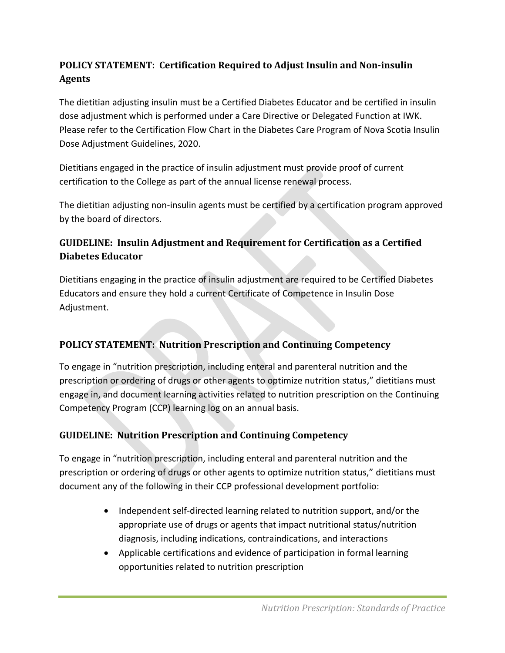## **POLICY STATEMENT: Certification Required to Adjust Insulin and Non-insulin Agents**

The dietitian adjusting insulin must be a Certified Diabetes Educator and be certified in insulin dose adjustment which is performed under a Care Directive or Delegated Function at IWK. Please refer to the Certification Flow Chart in the Diabetes Care Program of Nova Scotia Insulin Dose Adjustment Guidelines, 2020.

Dietitians engaged in the practice of insulin adjustment must provide proof of current certification to the College as part of the annual license renewal process.

The dietitian adjusting non-insulin agents must be certified by a certification program approved by the board of directors.

## **GUIDELINE: Insulin Adjustment and Requirement for Certification as a Certified Diabetes Educator**

Dietitians engaging in the practice of insulin adjustment are required to be Certified Diabetes Educators and ensure they hold a current Certificate of Competence in Insulin Dose Adjustment.

## **POLICY STATEMENT: Nutrition Prescription and Continuing Competency**

To engage in "nutrition prescription, including enteral and parenteral nutrition and the prescription or ordering of drugs or other agents to optimize nutrition status," dietitians must engage in, and document learning activities related to nutrition prescription on the Continuing Competency Program (CCP) learning log on an annual basis.

## **GUIDELINE: Nutrition Prescription and Continuing Competency**

To engage in "nutrition prescription, including enteral and parenteral nutrition and the prescription or ordering of drugs or other agents to optimize nutrition status," dietitians must document any of the following in their CCP professional development portfolio:

- Independent self-directed learning related to nutrition support, and/or the appropriate use of drugs or agents that impact nutritional status/nutrition diagnosis, including indications, contraindications, and interactions
- Applicable certifications and evidence of participation in formal learning opportunities related to nutrition prescription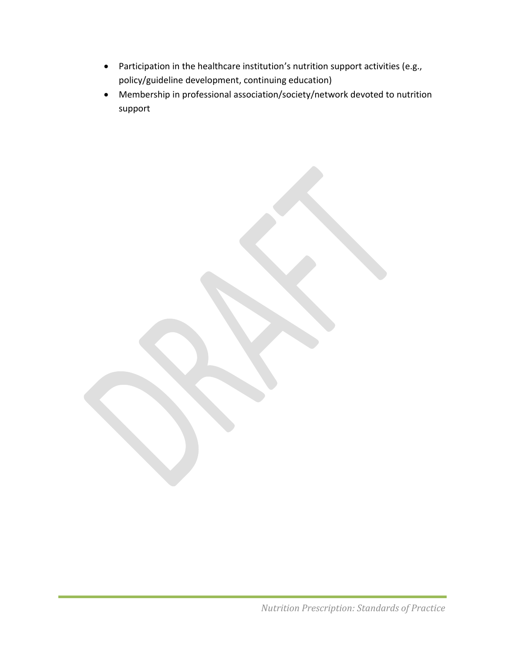- Participation in the healthcare institution's nutrition support activities (e.g., policy/guideline development, continuing education)
- Membership in professional association/society/network devoted to nutrition support

*Nutrition Prescription: Standards of Practice*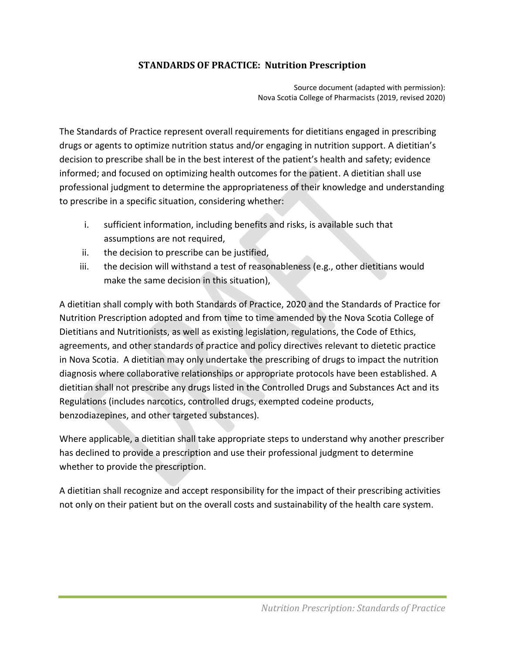## **STANDARDS OF PRACTICE: Nutrition Prescription**

Source document (adapted with permission): Nova Scotia College of Pharmacists (2019, revised 2020)

The Standards of Practice represent overall requirements for dietitians engaged in prescribing drugs or agents to optimize nutrition status and/or engaging in nutrition support. A dietitian's decision to prescribe shall be in the best interest of the patient's health and safety; evidence informed; and focused on optimizing health outcomes for the patient. A dietitian shall use professional judgment to determine the appropriateness of their knowledge and understanding to prescribe in a specific situation, considering whether:

- i. sufficient information, including benefits and risks, is available such that assumptions are not required,
- ii. the decision to prescribe can be justified,
- iii. the decision will withstand a test of reasonableness (e.g., other dietitians would make the same decision in this situation),

A dietitian shall comply with both Standards of Practice, 2020 and the Standards of Practice for Nutrition Prescription adopted and from time to time amended by the Nova Scotia College of Dietitians and Nutritionists, as well as existing legislation, regulations, the Code of Ethics, agreements, and other standards of practice and policy directives relevant to dietetic practice in Nova Scotia. A dietitian may only undertake the prescribing of drugs to impact the nutrition diagnosis where collaborative relationships or appropriate protocols have been established. A dietitian shall not prescribe any drugs listed in the Controlled Drugs and Substances Act and its Regulations (includes narcotics, controlled drugs, exempted codeine products, benzodiazepines, and other targeted substances).

Where applicable, a dietitian shall take appropriate steps to understand why another prescriber has declined to provide a prescription and use their professional judgment to determine whether to provide the prescription.

A dietitian shall recognize and accept responsibility for the impact of their prescribing activities not only on their patient but on the overall costs and sustainability of the health care system.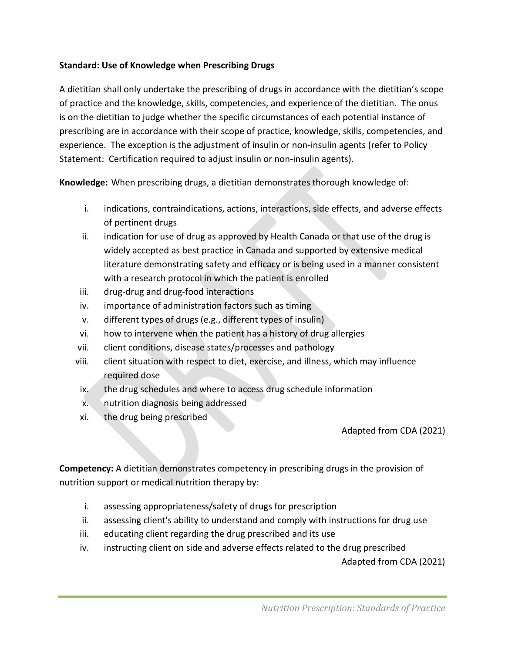#### **Standard: Use of Knowledge when Prescribing Drugs**

A dietitian shall only undertake the prescribing of drugs in accordance with the dietitian's scope of practice and the knowledge, skills, competencies, and experience of the dietitian. The onus is on the dietitian to judge whether the specific circumstances of each potential instance of prescribing are in accordance with their scope of practice, knowledge, skills, competencies, and experience. The exception is the adjustment of insulin or non-insulin agents (refer to Policy Statement: Certification required to adjust insulin or non-insulin agents).

**Knowledge:** When prescribing drugs, a dietitian demonstrates thorough knowledge of:

- i. indications, contraindications, actions, interactions, side effects, and adverse effects of pertinent drugs
- ii. indication for use of drug as approved by Health Canada or that use of the drug is widely accepted as best practice in Canada and supported by extensive medical literature demonstrating safety and efficacy or is being used in a manner consistent with a research protocol in which the patient is enrolled
- iii. drug-drug and drug-food interactions
- iv. importance of administration factors such as timing
- v. different types of drugs (e.g., different types of insulin)
- vi. how to intervene when the patient has a history of drug allergies
- vii. client conditions, disease states/processes and pathology
- viii. client situation with respect to diet, exercise, and illness, which may influence required dose
- ix. the drug schedules and where to access drug schedule information
- x. nutrition diagnosis being addressed
- xi. the drug being prescribed

#### Adapted from CDA (2021)

**Competency:** A dietitian demonstrates competency in prescribing drugs in the provision of nutrition support or medical nutrition therapy by:

- i. assessing appropriateness/safety of drugs for prescription
- ii. assessing client's ability to understand and comply with instructions for drug use
- iii. educating client regarding the drug prescribed and its use
- iv. instructing client on side and adverse effects related to the drug prescribed

Adapted from CDA (2021)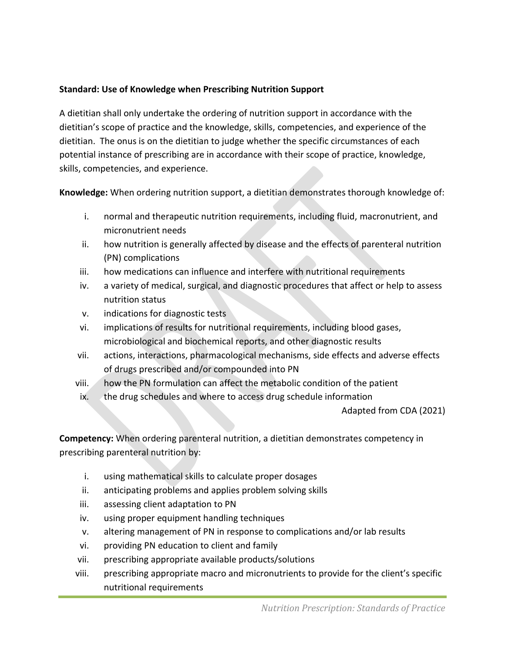### **Standard: Use of Knowledge when Prescribing Nutrition Support**

A dietitian shall only undertake the ordering of nutrition support in accordance with the dietitian's scope of practice and the knowledge, skills, competencies, and experience of the dietitian. The onus is on the dietitian to judge whether the specific circumstances of each potential instance of prescribing are in accordance with their scope of practice, knowledge, skills, competencies, and experience.

**Knowledge:** When ordering nutrition support, a dietitian demonstrates thorough knowledge of:

- i. normal and therapeutic nutrition requirements, including fluid, macronutrient, and micronutrient needs
- ii. how nutrition is generally affected by disease and the effects of parenteral nutrition (PN) complications
- iii. how medications can influence and interfere with nutritional requirements
- iv. a variety of medical, surgical, and diagnostic procedures that affect or help to assess nutrition status
- v. indications for diagnostic tests
- vi. implications of results for nutritional requirements, including blood gases, microbiological and biochemical reports, and other diagnostic results
- vii. actions, interactions, pharmacological mechanisms, side effects and adverse effects of drugs prescribed and/or compounded into PN
- viii. how the PN formulation can affect the metabolic condition of the patient
- ix. the drug schedules and where to access drug schedule information

Adapted from CDA (2021)

**Competency:** When ordering parenteral nutrition, a dietitian demonstrates competency in prescribing parenteral nutrition by:

- i. using mathematical skills to calculate proper dosages
- ii. anticipating problems and applies problem solving skills
- iii. assessing client adaptation to PN
- iv. using proper equipment handling techniques
- v. altering management of PN in response to complications and/or lab results
- vi. providing PN education to client and family
- vii. prescribing appropriate available products/solutions
- viii. prescribing appropriate macro and micronutrients to provide for the client's specific nutritional requirements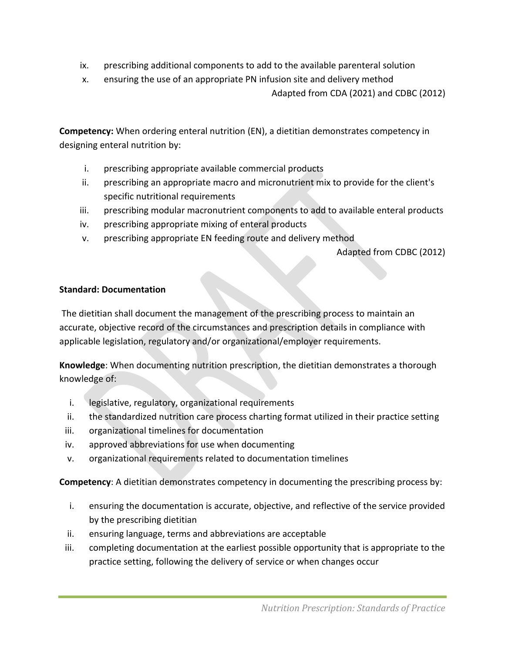- ix. prescribing additional components to add to the available parenteral solution
- x. ensuring the use of an appropriate PN infusion site and delivery method

Adapted from CDA (2021) and CDBC (2012)

**Competency:** When ordering enteral nutrition (EN), a dietitian demonstrates competency in designing enteral nutrition by:

- i. prescribing appropriate available commercial products
- ii. prescribing an appropriate macro and micronutrient mix to provide for the client's specific nutritional requirements
- iii. prescribing modular macronutrient components to add to available enteral products
- iv. prescribing appropriate mixing of enteral products
- v. prescribing appropriate EN feeding route and delivery method

Adapted from CDBC (2012)

#### **Standard: Documentation**

The dietitian shall document the management of the prescribing process to maintain an accurate, objective record of the circumstances and prescription details in compliance with applicable legislation, regulatory and/or organizational/employer requirements.

**Knowledge**: When documenting nutrition prescription, the dietitian demonstrates a thorough knowledge of:

- i. legislative, regulatory, organizational requirements
- ii. the standardized nutrition care process charting format utilized in their practice setting
- iii. organizational timelines for documentation
- iv. approved abbreviations for use when documenting
- v. organizational requirements related to documentation timelines

**Competency**: A dietitian demonstrates competency in documenting the prescribing process by:

- i. ensuring the documentation is accurate, objective, and reflective of the service provided by the prescribing dietitian
- ii. ensuring language, terms and abbreviations are acceptable
- iii. completing documentation at the earliest possible opportunity that is appropriate to the practice setting, following the delivery of service or when changes occur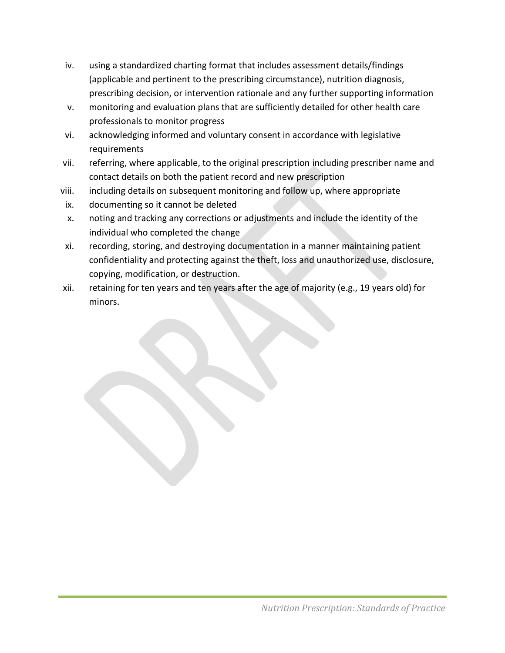- iv. using a standardized charting format that includes assessment details/findings (applicable and pertinent to the prescribing circumstance), nutrition diagnosis, prescribing decision, or intervention rationale and any further supporting information
- v. monitoring and evaluation plans that are sufficiently detailed for other health care professionals to monitor progress
- vi. acknowledging informed and voluntary consent in accordance with legislative requirements
- vii. referring, where applicable, to the original prescription including prescriber name and contact details on both the patient record and new prescription
- viii. including details on subsequent monitoring and follow up, where appropriate
- ix. documenting so it cannot be deleted
- x. noting and tracking any corrections or adjustments and include the identity of the individual who completed the change
- xi. recording, storing, and destroying documentation in a manner maintaining patient confidentiality and protecting against the theft, loss and unauthorized use, disclosure, copying, modification, or destruction.
- xii. retaining for ten years and ten years after the age of majority (e.g., 19 years old) for minors.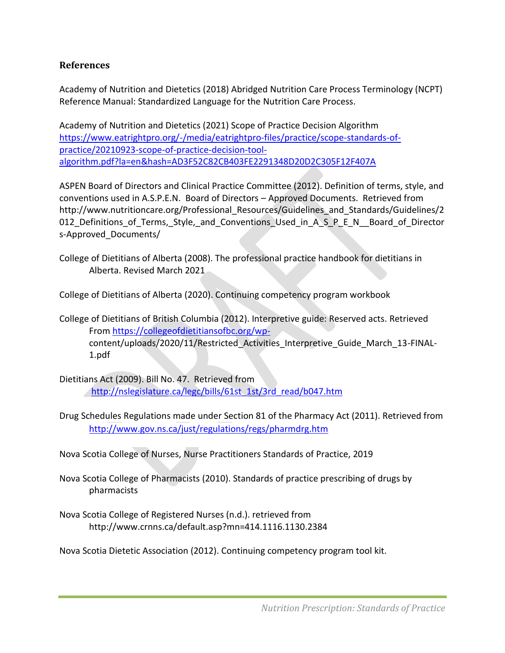### **References**

Academy of Nutrition and Dietetics (2018) Abridged Nutrition Care Process Terminology (NCPT) Reference Manual: Standardized Language for the Nutrition Care Process.

Academy of Nutrition and Dietetics (2021) Scope of Practice Decision Algorithm [https://www.eatrightpro.org/-/media/eatrightpro-files/practice/scope-standards-of](https://www.eatrightpro.org/-/media/eatrightpro-files/practice/scope-standards-of-practice/20210923-scope-of-practice-decision-tool-algorithm.pdf?la=en&hash=AD3F52C82CB403FE2291348D20D2C305F12F407A)[practice/20210923-scope-of-practice-decision-tool](https://www.eatrightpro.org/-/media/eatrightpro-files/practice/scope-standards-of-practice/20210923-scope-of-practice-decision-tool-algorithm.pdf?la=en&hash=AD3F52C82CB403FE2291348D20D2C305F12F407A)[algorithm.pdf?la=en&hash=AD3F52C82CB403FE2291348D20D2C305F12F407A](https://www.eatrightpro.org/-/media/eatrightpro-files/practice/scope-standards-of-practice/20210923-scope-of-practice-decision-tool-algorithm.pdf?la=en&hash=AD3F52C82CB403FE2291348D20D2C305F12F407A)

ASPEN Board of Directors and Clinical Practice Committee (2012). Definition of terms, style, and conventions used in A.S.P.E.N. Board of Directors – Approved Documents. Retrieved from http://www.nutritioncare.org/Professional Resources/Guidelines and Standards/Guidelines/2 012 Definitions of Terms, Style, and Conventions Used in A S P E N Board of Director s-Approved\_Documents/

College of Dietitians of Alberta (2008). The professional practice handbook for dietitians in Alberta. Revised March 2021

College of Dietitians of Alberta (2020). Continuing competency program workbook

- College of Dietitians of British Columbia (2012). Interpretive guide: Reserved acts. Retrieved From [https://collegeofdietitiansofbc.org/wp](https://collegeofdietitiansofbc.org/wp-)content/uploads/2020/11/Restricted\_Activities\_Interpretive\_Guide\_March\_13-FINAL-1.pdf
- Dietitians Act (2009). Bill No. 47. Retrieved from [http://nslegislature.ca/legc/bills/61st\\_1st/3rd\\_read/b047.htm](http://nslegislature.ca/legc/bills/61st_1st/3rd_read/b047.htm)
- Drug Schedules Regulations made under Section 81 of the Pharmacy Act (2011). Retrieved from <http://www.gov.ns.ca/just/regulations/regs/pharmdrg.htm>

Nova Scotia College of Nurses, Nurse Practitioners Standards of Practice, 2019

- Nova Scotia College of Pharmacists (2010). Standards of practice prescribing of drugs by pharmacists
- Nova Scotia College of Registered Nurses (n.d.). retrieved from http://www.crnns.ca/default.asp?mn=414.1116.1130.2384

Nova Scotia Dietetic Association (2012). Continuing competency program tool kit.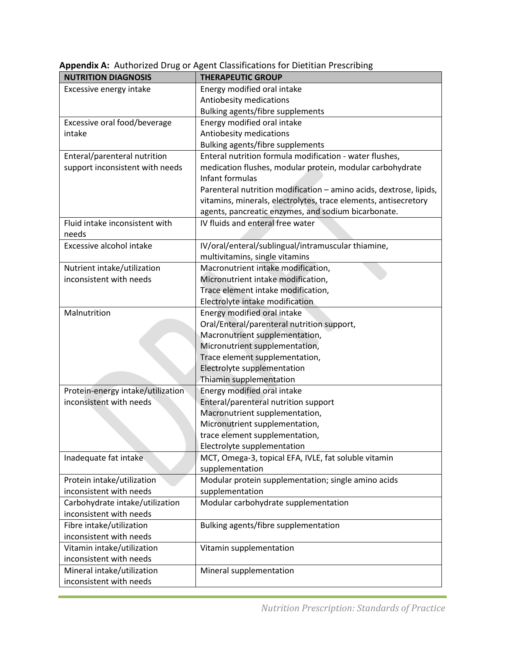| <b>NUTRITION DIAGNOSIS</b>        | <b>THERAPEUTIC GROUP</b>                                           |
|-----------------------------------|--------------------------------------------------------------------|
| Excessive energy intake           | Energy modified oral intake                                        |
|                                   | Antiobesity medications                                            |
|                                   | Bulking agents/fibre supplements                                   |
| Excessive oral food/beverage      | Energy modified oral intake                                        |
| intake                            | Antiobesity medications                                            |
|                                   | Bulking agents/fibre supplements                                   |
| Enteral/parenteral nutrition      | Enteral nutrition formula modification - water flushes,            |
| support inconsistent with needs   | medication flushes, modular protein, modular carbohydrate          |
|                                   | Infant formulas                                                    |
|                                   | Parenteral nutrition modification - amino acids, dextrose, lipids, |
|                                   | vitamins, minerals, electrolytes, trace elements, antisecretory    |
|                                   | agents, pancreatic enzymes, and sodium bicarbonate.                |
| Fluid intake inconsistent with    | IV fluids and enteral free water                                   |
| needs                             |                                                                    |
| Excessive alcohol intake          | IV/oral/enteral/sublingual/intramuscular thiamine,                 |
|                                   | multivitamins, single vitamins                                     |
| Nutrient intake/utilization       | Macronutrient intake modification,                                 |
| inconsistent with needs           | Micronutrient intake modification,                                 |
|                                   | Trace element intake modification,                                 |
|                                   | Electrolyte intake modification                                    |
| Malnutrition                      | Energy modified oral intake                                        |
|                                   | Oral/Enteral/parenteral nutrition support,                         |
|                                   | Macronutrient supplementation,                                     |
|                                   | Micronutrient supplementation,                                     |
|                                   | Trace element supplementation,                                     |
|                                   | Electrolyte supplementation                                        |
|                                   | Thiamin supplementation                                            |
| Protein-energy intake/utilization | Energy modified oral intake                                        |
| inconsistent with needs           | Enteral/parenteral nutrition support                               |
|                                   | Macronutrient supplementation,                                     |
|                                   | Micronutrient supplementation,                                     |
|                                   | trace element supplementation,                                     |
|                                   | Electrolyte supplementation                                        |
| Inadequate fat intake             | MCT, Omega-3, topical EFA, IVLE, fat soluble vitamin               |
|                                   | supplementation                                                    |
| Protein intake/utilization        | Modular protein supplementation; single amino acids                |
| inconsistent with needs           | supplementation                                                    |
| Carbohydrate intake/utilization   | Modular carbohydrate supplementation                               |
| inconsistent with needs           |                                                                    |
| Fibre intake/utilization          | Bulking agents/fibre supplementation                               |
| inconsistent with needs           |                                                                    |
| Vitamin intake/utilization        | Vitamin supplementation                                            |
| inconsistent with needs           |                                                                    |
| Mineral intake/utilization        | Mineral supplementation                                            |
| inconsistent with needs           |                                                                    |

**Appendix A:** Authorized Drug or Agent Classifications for Dietitian Prescribing